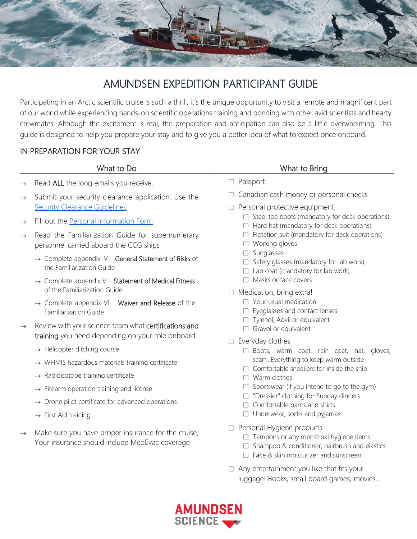

# AMUNDSEN EXPEDITION PARTICIPANT GUIDE

Participating in an Arctic scientific cruise is such a thrill; it's the unique opportunity to visit a remote and magnificent part of our world while experiencing hands-on scientific operations training and bonding with other avid scientists and hearty crewmates. Although the excitement is real, the preparation and anticipation can also be a little overwhelming. This guide is designed to help you prepare your stay and to give you a better idea of what to expect once onboard.

#### IN PREPARATION FOR YOUR STAY

|                                | What to Do                                                                                                                                                                                                                                                                                                                                                                                                                            | What to Bring                                                                                                                                                                                                                                                                                                                                                                                                                                                                                                              |
|--------------------------------|---------------------------------------------------------------------------------------------------------------------------------------------------------------------------------------------------------------------------------------------------------------------------------------------------------------------------------------------------------------------------------------------------------------------------------------|----------------------------------------------------------------------------------------------------------------------------------------------------------------------------------------------------------------------------------------------------------------------------------------------------------------------------------------------------------------------------------------------------------------------------------------------------------------------------------------------------------------------------|
| $\rightarrow$                  | Read ALL the long emails you receive.                                                                                                                                                                                                                                                                                                                                                                                                 | $\Box$ Passport                                                                                                                                                                                                                                                                                                                                                                                                                                                                                                            |
| $\rightarrow$                  | Submit your security clearance application; Use the<br><b>Security Clearance Guidelines</b>                                                                                                                                                                                                                                                                                                                                           | Canadian cash money or personal checks<br>Personal protective equipment<br>$\Box$ Steel toe boots (mandatory for deck operations)<br>Hard hat (mandatory for deck operations)<br>$\Box$ Flotation suit (mandatory for deck operations)<br>$\Box$ Working gloves<br>Sunglasses<br>Safety glasses (mandatory for lab work)<br>$\Box$ Lab coat (mandatory for lab work)                                                                                                                                                       |
| $\rightarrow$<br>$\rightarrow$ | Fill out the Personal Information Form<br>Read the Familiarization Guide for supernumerary<br>personnel carried aboard the CCG ships<br>$\rightarrow$ Complete appendix IV – General Statement of Risks of<br>the Familiarization Guide                                                                                                                                                                                               |                                                                                                                                                                                                                                                                                                                                                                                                                                                                                                                            |
|                                | $\rightarrow$ Complete appendix V – Statement of Medical Fitness<br>of the Familiarization Guide                                                                                                                                                                                                                                                                                                                                      | $\Box$ Masks or face covers                                                                                                                                                                                                                                                                                                                                                                                                                                                                                                |
|                                | → Complete appendix VI - Waiver and Release of the<br><b>Familiarization Guide</b>                                                                                                                                                                                                                                                                                                                                                    | Medication; bring extra!<br>П.<br>$\Box$ Your usual medication<br>Eyeglasses and contact lenses<br>Tylenol, Advil or equivalent<br>Gravol or equivalent<br>Everyday clothes<br>$\Box$ Boots, warm coat, rain coat, hat, gloves,<br>scarfEverything to keep warm outside<br>$\Box$ Comfortable sneakers for inside the ship<br>$\Box$ Warm clothes<br>Sportswear (if you intend to go to the gym)<br>□ "Dressier" clothing for Sunday dinners<br>$\Box$ Comfortable pants and shirts<br>$\Box$ Underwear, socks and pyjamas |
| $\rightarrow$                  | Review with your science team what certifications and<br>training you need depending on your role onboard<br>$\rightarrow$ Helicopter ditching course<br>$\rightarrow$ WHMIS hazardous materials training certificate<br>$\rightarrow$ Radioisotope training certificate<br>$\rightarrow$ Firearm operation training and license<br>$\rightarrow$ Drone pilot certificate for advanced operations<br>$\rightarrow$ First Aid training |                                                                                                                                                                                                                                                                                                                                                                                                                                                                                                                            |
| $\rightarrow$                  | Make sure you have proper insurance for the cruise;<br>Your insurance should include MedEvac coverage                                                                                                                                                                                                                                                                                                                                 | $\Box$ Personal Hygiene products<br>Tampons or any menstrual hygiene items<br>Shampoo & conditioner, hairbrush and elastics<br>$\Box$ Face & skin moisturizer and sunscreen                                                                                                                                                                                                                                                                                                                                                |
|                                |                                                                                                                                                                                                                                                                                                                                                                                                                                       | Any entertainment you like that fits your                                                                                                                                                                                                                                                                                                                                                                                                                                                                                  |



luggage! Books, small board games, movies…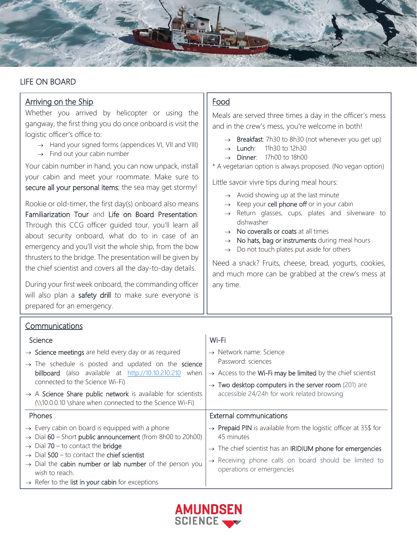

## LIFE ON BOARD

h

| <b>Arriving on the Ship</b>                                                                                                                                                                                                                                                               | Food                                                                                                                                                                                                                                                                                                                                                                                  |  |  |  |
|-------------------------------------------------------------------------------------------------------------------------------------------------------------------------------------------------------------------------------------------------------------------------------------------|---------------------------------------------------------------------------------------------------------------------------------------------------------------------------------------------------------------------------------------------------------------------------------------------------------------------------------------------------------------------------------------|--|--|--|
| Whether you arrived by helicopter or using the                                                                                                                                                                                                                                            | Meals are served three times a day in the officer's mess                                                                                                                                                                                                                                                                                                                              |  |  |  |
| gangway, the first thing you do once onboard is visit the<br>logistic officer's office to:                                                                                                                                                                                                | and in the crew's mess, you're welcome in both!                                                                                                                                                                                                                                                                                                                                       |  |  |  |
| $\rightarrow$ Hand your signed forms (appendices VI, VII and VIII)<br>$\rightarrow$ Find out your cabin number                                                                                                                                                                            | Breakfast: 7h30 to 8h30 (not whenever you get up)<br>$\rightarrow$<br>11h30 to 12h30<br>Lunch:<br>$\rightarrow$<br>17h00 to 18h00<br>$\rightarrow$ Dinner:                                                                                                                                                                                                                            |  |  |  |
| Your cabin number in hand, you can now unpack, install<br>your cabin and meet your roommate. Make sure to                                                                                                                                                                                 | * A vegetarian option is always proposed. (No vegan option)<br>Little savoir vivre tips during meal hours:                                                                                                                                                                                                                                                                            |  |  |  |
| secure all your personal items; the sea may get stormy!                                                                                                                                                                                                                                   | $\rightarrow$ Avoid showing up at the last minute                                                                                                                                                                                                                                                                                                                                     |  |  |  |
| Rookie or old-timer, the first day(s) onboard also means<br>Familiarization Tour and Life on Board Presentation.<br>Through this CCG officer guided tour, you'll learn all<br>about security onboard, what do to in case of an<br>emergency and you'll visit the whole ship, from the bow | Keep your cell phone off or in your cabin<br>$\rightarrow$<br>Return glasses, cups, plates and silverware to<br>$\rightarrow$<br>dishwasher<br>$\rightarrow$ No coveralls or coats at all times<br>$\rightarrow$ No hats, bag or instruments during meal hours<br>Do not touch plates put aside for others<br>$\rightarrow$<br>Need a snack? Fruits, cheese, bread, yogurts, cookies, |  |  |  |
| thrusters to the bridge. The presentation will be given by<br>the chief scientist and covers all the day-to-day details.                                                                                                                                                                  |                                                                                                                                                                                                                                                                                                                                                                                       |  |  |  |
| During your first week onboard, the commanding officer<br>will also plan a safety drill to make sure everyone is<br>prepared for an emergency.                                                                                                                                            | and much more can be grabbed at the crew's mess at<br>any time.                                                                                                                                                                                                                                                                                                                       |  |  |  |
| <b>Communications</b>                                                                                                                                                                                                                                                                     |                                                                                                                                                                                                                                                                                                                                                                                       |  |  |  |
| Science                                                                                                                                                                                                                                                                                   | Wi-Fi                                                                                                                                                                                                                                                                                                                                                                                 |  |  |  |
| $\rightarrow$ Science meetings are held every day or as required                                                                                                                                                                                                                          | $\rightarrow$ Network name: Science                                                                                                                                                                                                                                                                                                                                                   |  |  |  |
| $\rightarrow$ The schedule is posted and updated on the science<br>billboard (also available at http://10.10.210.210 when                                                                                                                                                                 | Password: sciences<br>$\rightarrow$ Access to the Wi-Fi may be limited by the chief scientist                                                                                                                                                                                                                                                                                         |  |  |  |
| connected to the Science Wi-Fi)                                                                                                                                                                                                                                                           | $\rightarrow$ Two desktop computers in the server room (201) are                                                                                                                                                                                                                                                                                                                      |  |  |  |
| $\rightarrow$ A Science Share public network is available for scientists<br>(\\10.0.0.10 \share when connected to the Science Wi-Fi)                                                                                                                                                      | accessible 24/24h for work related browsing                                                                                                                                                                                                                                                                                                                                           |  |  |  |
| Phones                                                                                                                                                                                                                                                                                    | <b>External communications</b>                                                                                                                                                                                                                                                                                                                                                        |  |  |  |
| $\rightarrow$ Every cabin on board is equipped with a phone<br>Dial 60 - Short public announcement (from 8h00 to 20h00)                                                                                                                                                                   | $\rightarrow$ Prepaid PIN is available from the logistic officer at 35\$ for<br>45 minutes                                                                                                                                                                                                                                                                                            |  |  |  |
| Dial $70 -$ to contact the bridge<br>Dial $500 -$ to contact the chief scientist                                                                                                                                                                                                          | $\rightarrow$ The chief scientist has an IRIDIUM phone for emergencies                                                                                                                                                                                                                                                                                                                |  |  |  |
| $\rightarrow$ Dial the cabin number or lab number of the person you<br>wish to reach.<br>$\rightarrow$ Refer to the list in your cabin for exceptions                                                                                                                                     | $\rightarrow$ Receiving phone calls on board should be limited to<br>operations or emergencies                                                                                                                                                                                                                                                                                        |  |  |  |